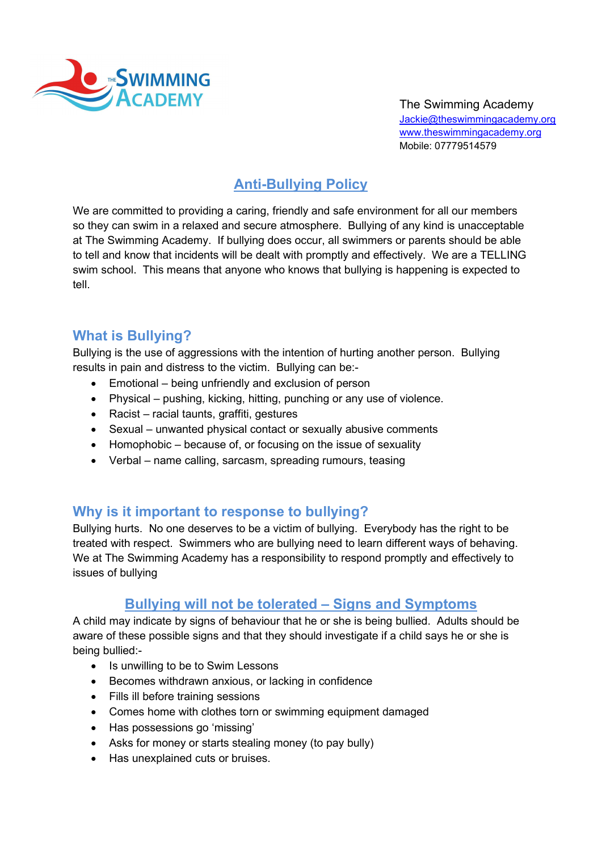

The Swimming Academy Jackie@theswimmingacademy.org www.theswimmingacademy.org Mobile: 07779514579

# Anti-Bullying Policy

We are committed to providing a caring, friendly and safe environment for all our members so they can swim in a relaxed and secure atmosphere. Bullying of any kind is unacceptable at The Swimming Academy. If bullying does occur, all swimmers or parents should be able to tell and know that incidents will be dealt with promptly and effectively. We are a TELLING swim school. This means that anyone who knows that bullying is happening is expected to tell.

## What is Bullying?

Bullying is the use of aggressions with the intention of hurting another person. Bullying results in pain and distress to the victim. Bullying can be:-

- Emotional being unfriendly and exclusion of person
- Physical pushing, kicking, hitting, punching or any use of violence.
- Racist racial taunts, graffiti, gestures
- Sexual unwanted physical contact or sexually abusive comments
- Homophobic because of, or focusing on the issue of sexuality
- Verbal name calling, sarcasm, spreading rumours, teasing

### Why is it important to response to bullying?

Bullying hurts. No one deserves to be a victim of bullying. Everybody has the right to be treated with respect. Swimmers who are bullying need to learn different ways of behaving. We at The Swimming Academy has a responsibility to respond promptly and effectively to issues of bullying

#### Bullying will not be tolerated – Signs and Symptoms

A child may indicate by signs of behaviour that he or she is being bullied. Adults should be aware of these possible signs and that they should investigate if a child says he or she is being bullied:-

- Is unwilling to be to Swim Lessons
- Becomes withdrawn anxious, or lacking in confidence
- Fills ill before training sessions
- Comes home with clothes torn or swimming equipment damaged
- Has possessions go 'missing'
- Asks for money or starts stealing money (to pay bully)
- Has unexplained cuts or bruises.